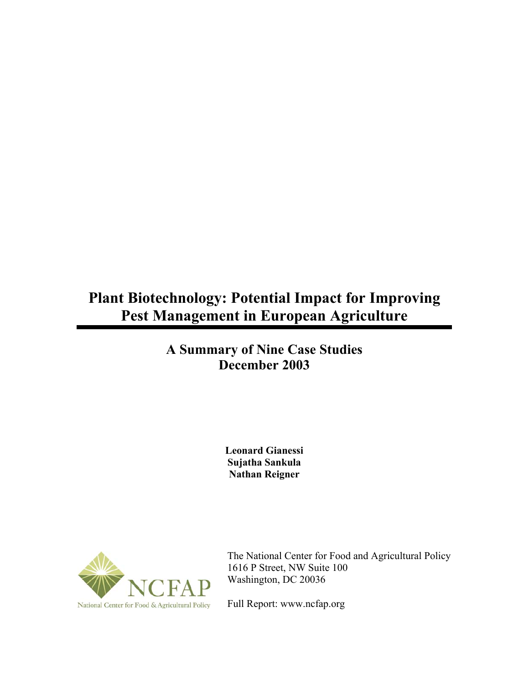# **Plant Biotechnology: Potential Impact for Improving Pest Management in European Agriculture**

# **A Summary of Nine Case Studies December 2003**

**Leonard Gianessi Sujatha Sankula Nathan Reigner** 



The National Center for Food and Agricultural Policy 1616 P Street, NW Suite 100 Washington, DC 20036

Full Report: www.ncfap.org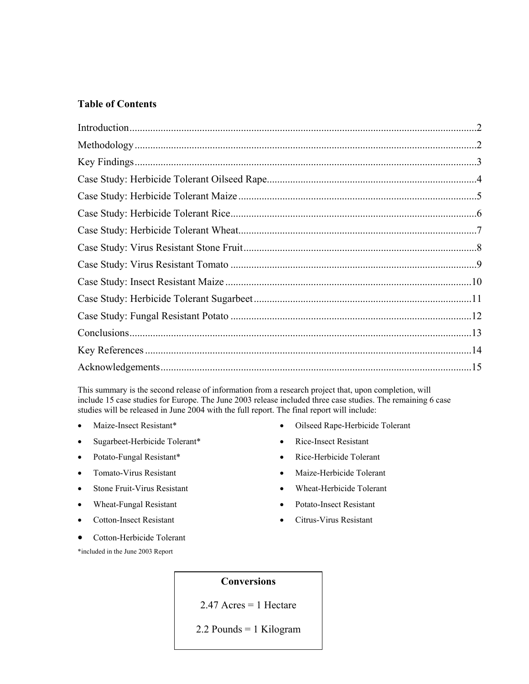#### **Table of Contents**

This summary is the second release of information from a research project that, upon completion, will include 15 case studies for Europe. The June 2003 release included three case studies. The remaining 6 case studies will be released in June 2004 with the full report. The final report will include:

- Maize-Insect Resistant\*
- Sugarbeet-Herbicide Tolerant\*
- Potato-Fungal Resistant\*
- Tomato-Virus Resistant
- Stone Fruit-Virus Resistant
- Wheat-Fungal Resistant
- Cotton-Insect Resistant

\*included in the June 2003 Report

• Cotton-Herbicide Tolerant

- Oilseed Rape-Herbicide Tolerant • Rice-Insect Resistant
- Rice-Herbicide Tolerant
- Maize-Herbicide Tolerant
- Wheat-Herbicide Tolerant
- Potato-Insect Resistant
- Citrus-Virus Resistant
- 

# **Conversions**

2.47 Acres = 1 Hectare

2.2 Pounds = 1 Kilogram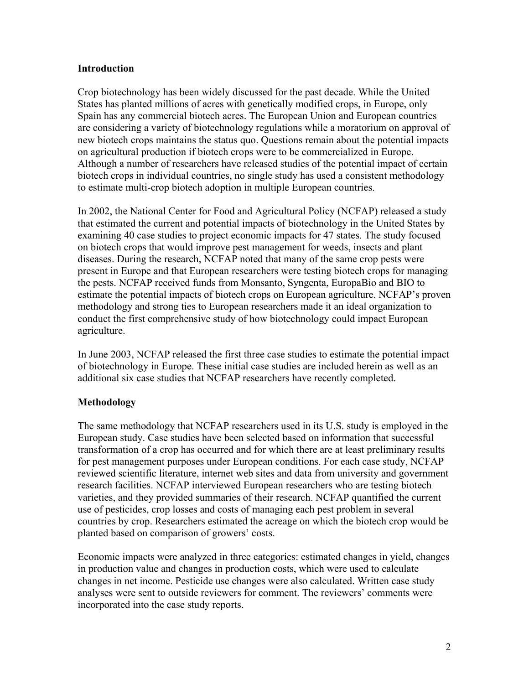#### **Introduction**

Crop biotechnology has been widely discussed for the past decade. While the United States has planted millions of acres with genetically modified crops, in Europe, only Spain has any commercial biotech acres. The European Union and European countries are considering a variety of biotechnology regulations while a moratorium on approval of new biotech crops maintains the status quo. Questions remain about the potential impacts on agricultural production if biotech crops were to be commercialized in Europe. Although a number of researchers have released studies of the potential impact of certain biotech crops in individual countries, no single study has used a consistent methodology to estimate multi-crop biotech adoption in multiple European countries.

In 2002, the National Center for Food and Agricultural Policy (NCFAP) released a study that estimated the current and potential impacts of biotechnology in the United States by examining 40 case studies to project economic impacts for 47 states. The study focused on biotech crops that would improve pest management for weeds, insects and plant diseases. During the research, NCFAP noted that many of the same crop pests were present in Europe and that European researchers were testing biotech crops for managing the pests. NCFAP received funds from Monsanto, Syngenta, EuropaBio and BIO to estimate the potential impacts of biotech crops on European agriculture. NCFAP's proven methodology and strong ties to European researchers made it an ideal organization to conduct the first comprehensive study of how biotechnology could impact European agriculture.

In June 2003, NCFAP released the first three case studies to estimate the potential impact of biotechnology in Europe. These initial case studies are included herein as well as an additional six case studies that NCFAP researchers have recently completed.

# **Methodology**

The same methodology that NCFAP researchers used in its U.S. study is employed in the European study. Case studies have been selected based on information that successful transformation of a crop has occurred and for which there are at least preliminary results for pest management purposes under European conditions. For each case study, NCFAP reviewed scientific literature, internet web sites and data from university and government research facilities. NCFAP interviewed European researchers who are testing biotech varieties, and they provided summaries of their research. NCFAP quantified the current use of pesticides, crop losses and costs of managing each pest problem in several countries by crop. Researchers estimated the acreage on which the biotech crop would be planted based on comparison of growers' costs.

Economic impacts were analyzed in three categories: estimated changes in yield, changes in production value and changes in production costs, which were used to calculate changes in net income. Pesticide use changes were also calculated. Written case study analyses were sent to outside reviewers for comment. The reviewers' comments were incorporated into the case study reports.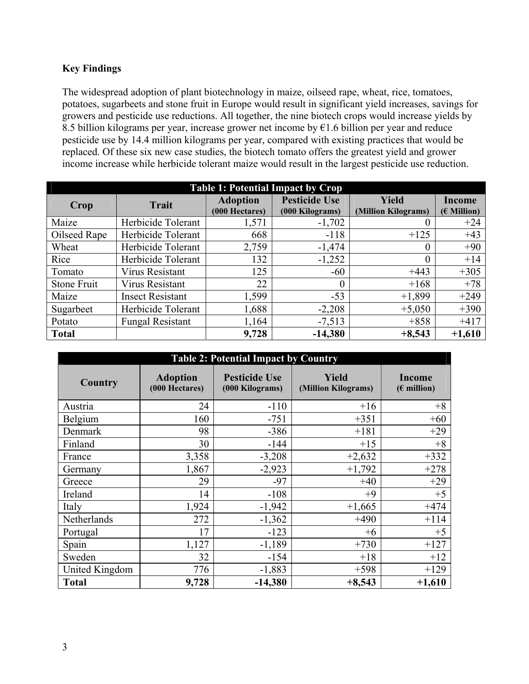# **Key Findings**

The widespread adoption of plant biotechnology in maize, oilseed rape, wheat, rice, tomatoes, potatoes, sugarbeets and stone fruit in Europe would result in significant yield increases, savings for growers and pesticide use reductions. All together, the nine biotech crops would increase yields by 8.5 billion kilograms per year, increase grower net income by €1.6 billion per year and reduce pesticide use by 14.4 million kilograms per year, compared with existing practices that would be replaced. Of these six new case studies, the biotech tomato offers the greatest yield and grower income increase while herbicide tolerant maize would result in the largest pesticide use reduction.

| <b>Table 1: Potential Impact by Crop</b> |                         |                                   |                                         |                                     |                                |  |
|------------------------------------------|-------------------------|-----------------------------------|-----------------------------------------|-------------------------------------|--------------------------------|--|
| Crop                                     | <b>Trait</b>            | <b>Adoption</b><br>(000 Hectares) | <b>Pesticide Use</b><br>(000 Kilograms) | <b>Yield</b><br>(Million Kilograms) | <b>Income</b><br>$(E$ Million) |  |
| Maize                                    | Herbicide Tolerant      | 1,571                             | $-1,702$                                |                                     | $+24$                          |  |
| Oilseed Rape                             | Herbicide Tolerant      | 668                               | $-118$                                  | $+125$                              | $+43$                          |  |
| Wheat                                    | Herbicide Tolerant      | 2,759                             | $-1,474$                                | $\Omega$                            | $+90$                          |  |
| Rice                                     | Herbicide Tolerant      | 132                               | $-1,252$                                | $\Omega$                            | $+14$                          |  |
| Tomato                                   | <b>Virus Resistant</b>  | 125                               | $-60$                                   | $+443$                              | $+305$                         |  |
| Stone Fruit                              | <b>Virus Resistant</b>  | 22                                | $\theta$                                | $+168$                              | $+78$                          |  |
| Maize                                    | <b>Insect Resistant</b> | 1,599                             | $-53$                                   | $+1,899$                            | $+249$                         |  |
| Sugarbeet                                | Herbicide Tolerant      | 1,688                             | $-2,208$                                | $+5,050$                            | $+390$                         |  |
| Potato                                   | <b>Fungal Resistant</b> | 1,164                             | $-7,513$                                | $+858$                              | $+417$                         |  |
| <b>Total</b>                             |                         | 9,728                             | $-14,380$                               | $+8,543$                            | $+1,610$                       |  |

| <b>Table 2: Potential Impact by Country</b> |                                   |                                         |                                     |                                |
|---------------------------------------------|-----------------------------------|-----------------------------------------|-------------------------------------|--------------------------------|
| Country                                     | <b>Adoption</b><br>(000 Hectares) | <b>Pesticide Use</b><br>(000 Kilograms) | <b>Yield</b><br>(Million Kilograms) | <b>Income</b><br>$(E$ million) |
| Austria                                     | 24                                | $-110$                                  | $+16$                               | $+8$                           |
| Belgium                                     | 160                               | $-751$                                  | $+351$                              | $+60$                          |
| Denmark                                     | 98                                | $-386$                                  | $+181$                              | $+29$                          |
| Finland                                     | 30                                | $-144$                                  | $+15$                               | $+8$                           |
| France                                      | 3,358                             | $-3,208$                                | $+2,632$                            | $+332$                         |
| Germany                                     | 1,867                             | $-2,923$                                | $+1,792$                            | $+278$                         |
| Greece                                      | 29                                | $-97$                                   | $+40$                               | $+29$                          |
| Ireland                                     | 14                                | $-108$                                  | $+9$                                | $+5$                           |
| Italy                                       | 1,924                             | $-1,942$                                | $+1,665$                            | $+474$                         |
| Netherlands                                 | 272                               | $-1,362$                                | $+490$                              | $+114$                         |
| Portugal                                    | 17                                | $-123$                                  | $+6$                                | $+5$                           |
| Spain                                       | 1,127                             | $-1,189$                                | $+730$                              | $+127$                         |
| Sweden                                      | 32                                | $-154$                                  | $+18$                               | $+12$                          |
| United Kingdom                              | 776                               | $-1,883$                                | $+598$                              | $+129$                         |
| <b>Total</b>                                | 9,728                             | $-14,380$                               | $+8,543$                            | $+1,610$                       |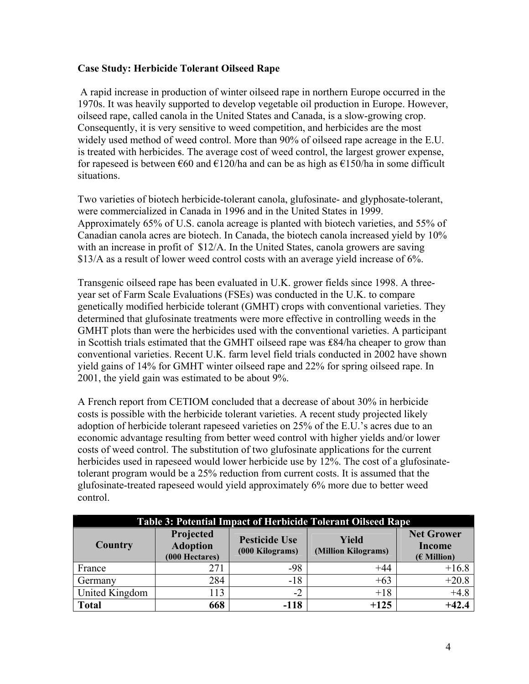# **Case Study: Herbicide Tolerant Oilseed Rape**

 A rapid increase in production of winter oilseed rape in northern Europe occurred in the 1970s. It was heavily supported to develop vegetable oil production in Europe. However, oilseed rape, called canola in the United States and Canada, is a slow-growing crop. Consequently, it is very sensitive to weed competition, and herbicides are the most widely used method of weed control. More than 90% of oilseed rape acreage in the E.U. is treated with herbicides. The average cost of weed control, the largest grower expense, for rapeseed is between  $\epsilon$ 60 and  $\epsilon$ 120/ha and can be as high as  $\epsilon$ 150/ha in some difficult situations.

Two varieties of biotech herbicide-tolerant canola, glufosinate- and glyphosate-tolerant, were commercialized in Canada in 1996 and in the United States in 1999. Approximately 65% of U.S. canola acreage is planted with biotech varieties, and 55% of Canadian canola acres are biotech. In Canada, the biotech canola increased yield by 10% with an increase in profit of \$12/A. In the United States, canola growers are saving \$13/A as a result of lower weed control costs with an average yield increase of 6%.

Transgenic oilseed rape has been evaluated in U.K. grower fields since 1998. A threeyear set of Farm Scale Evaluations (FSEs) was conducted in the U.K. to compare genetically modified herbicide tolerant (GMHT) crops with conventional varieties. They determined that glufosinate treatments were more effective in controlling weeds in the GMHT plots than were the herbicides used with the conventional varieties. A participant in Scottish trials estimated that the GMHT oilseed rape was ₤84/ha cheaper to grow than conventional varieties. Recent U.K. farm level field trials conducted in 2002 have shown yield gains of 14% for GMHT winter oilseed rape and 22% for spring oilseed rape. In 2001, the yield gain was estimated to be about 9%.

A French report from CETIOM concluded that a decrease of about 30% in herbicide costs is possible with the herbicide tolerant varieties. A recent study projected likely adoption of herbicide tolerant rapeseed varieties on 25% of the E.U.'s acres due to an economic advantage resulting from better weed control with higher yields and/or lower costs of weed control. The substitution of two glufosinate applications for the current herbicides used in rapeseed would lower herbicide use by 12%. The cost of a glufosinatetolerant program would be a 25% reduction from current costs. It is assumed that the glufosinate-treated rapeseed would yield approximately 6% more due to better weed control.

| <b>Table 3: Potential Impact of Herbicide Tolerant Oilseed Rape</b> |                                                |                                         |                              |                                              |
|---------------------------------------------------------------------|------------------------------------------------|-----------------------------------------|------------------------------|----------------------------------------------|
| Country                                                             | Projected<br><b>Adoption</b><br>(000 Hectares) | <b>Pesticide Use</b><br>(000 Kilograms) | Yield<br>(Million Kilograms) | <b>Net Grower</b><br>Income<br>$(E$ Million) |
| France                                                              | 271                                            | $-98$                                   | $+44$                        | $+16.8$                                      |
| Germany                                                             | 284                                            | $-18$                                   | $+63$                        | $+20.8$                                      |
| United Kingdom                                                      | 113                                            | $-2$                                    | $+18$                        | $+4.8$                                       |
| <b>Total</b>                                                        | 668                                            | $-118$                                  | $+125$                       | $+42.4$                                      |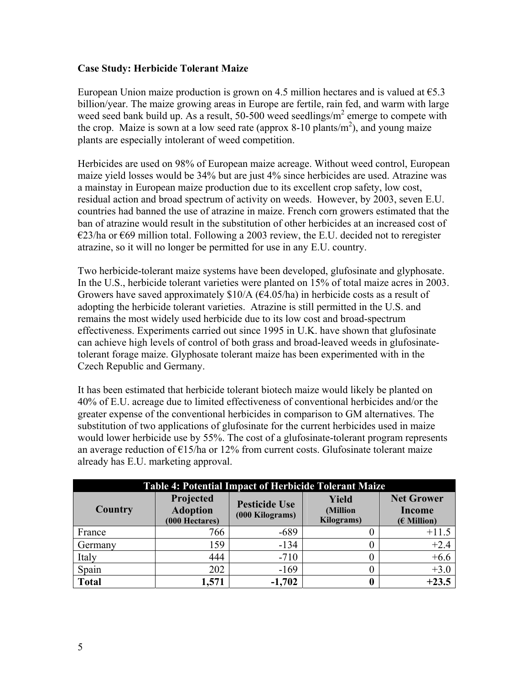#### **Case Study: Herbicide Tolerant Maize**

European Union maize production is grown on 4.5 million hectares and is valued at  $65.3$ billion/year. The maize growing areas in Europe are fertile, rain fed, and warm with large weed seed bank build up. As a result, 50-500 weed seedlings/ $m^2$  emerge to compete with the crop. Maize is sown at a low seed rate (approx 8-10 plants/ $m<sup>2</sup>$ ), and young maize plants are especially intolerant of weed competition.

Herbicides are used on 98% of European maize acreage. Without weed control, European maize yield losses would be 34% but are just 4% since herbicides are used. Atrazine was a mainstay in European maize production due to its excellent crop safety, low cost, residual action and broad spectrum of activity on weeds. However, by 2003, seven E.U. countries had banned the use of atrazine in maize. French corn growers estimated that the ban of atrazine would result in the substitution of other herbicides at an increased cost of  $\epsilon$ 23/ha or  $\epsilon$ 69 million total. Following a 2003 review, the E.U. decided not to reregister atrazine, so it will no longer be permitted for use in any E.U. country.

Two herbicide-tolerant maize systems have been developed, glufosinate and glyphosate. In the U.S., herbicide tolerant varieties were planted on 15% of total maize acres in 2003. Growers have saved approximately  $$10/A$  ( $$4.05/ha$ ) in herbicide costs as a result of adopting the herbicide tolerant varieties. Atrazine is still permitted in the U.S. and remains the most widely used herbicide due to its low cost and broad-spectrum effectiveness. Experiments carried out since 1995 in U.K. have shown that glufosinate can achieve high levels of control of both grass and broad-leaved weeds in glufosinatetolerant forage maize. Glyphosate tolerant maize has been experimented with in the Czech Republic and Germany.

It has been estimated that herbicide tolerant biotech maize would likely be planted on 40% of E.U. acreage due to limited effectiveness of conventional herbicides and/or the greater expense of the conventional herbicides in comparison to GM alternatives. The substitution of two applications of glufosinate for the current herbicides used in maize would lower herbicide use by 55%. The cost of a glufosinate-tolerant program represents an average reduction of  $E15/ha$  or 12% from current costs. Glufosinate tolerant maize already has E.U. marketing approval.

| <b>Table 4: Potential Impact of Herbicide Tolerant Maize</b> |                                                |                                         |                                                |                                                     |
|--------------------------------------------------------------|------------------------------------------------|-----------------------------------------|------------------------------------------------|-----------------------------------------------------|
| Country                                                      | Projected<br><b>Adoption</b><br>(000 Hectares) | <b>Pesticide Use</b><br>(000 Kilograms) | <b>Yield</b><br>(Million<br><b>Kilograms</b> ) | <b>Net Grower</b><br><b>Income</b><br>$(E$ Million) |
| France                                                       | 766                                            | $-689$                                  |                                                | $+11.5$                                             |
| Germany                                                      | 159                                            | $-134$                                  |                                                | $+2.4$                                              |
| Italy                                                        | 444                                            | $-710$                                  | 0                                              | $+6.6$                                              |
| Spain                                                        | 202                                            | $-169$                                  | 0                                              | $+3.0$                                              |
| <b>Total</b>                                                 | 1,571                                          | $-1,702$                                |                                                | $+23.5$                                             |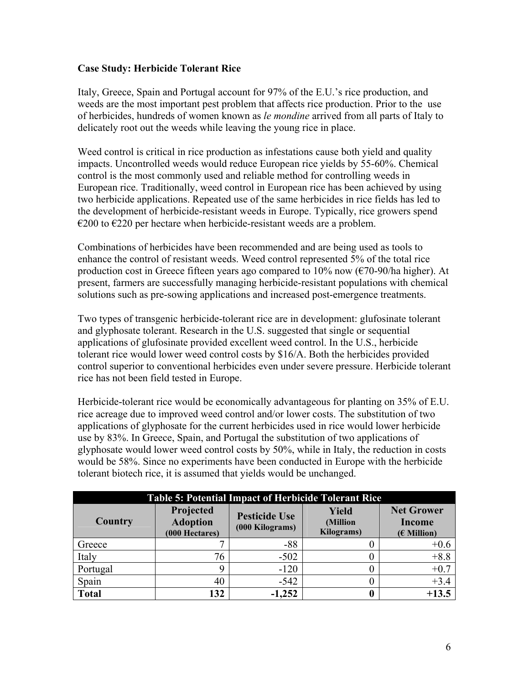# **Case Study: Herbicide Tolerant Rice**

Italy, Greece, Spain and Portugal account for 97% of the E.U.'s rice production, and weeds are the most important pest problem that affects rice production. Prior to the use of herbicides, hundreds of women known as *le mondine* arrived from all parts of Italy to delicately root out the weeds while leaving the young rice in place.

Weed control is critical in rice production as infestations cause both yield and quality impacts. Uncontrolled weeds would reduce European rice yields by 55-60%. Chemical control is the most commonly used and reliable method for controlling weeds in European rice. Traditionally, weed control in European rice has been achieved by using two herbicide applications. Repeated use of the same herbicides in rice fields has led to the development of herbicide-resistant weeds in Europe. Typically, rice growers spend  $\epsilon$ 200 to  $\epsilon$ 220 per hectare when herbicide-resistant weeds are a problem.

Combinations of herbicides have been recommended and are being used as tools to enhance the control of resistant weeds. Weed control represented 5% of the total rice production cost in Greece fifteen years ago compared to 10% now ( $\epsilon$ 70-90/ha higher). At present, farmers are successfully managing herbicide-resistant populations with chemical solutions such as pre-sowing applications and increased post-emergence treatments.

Two types of transgenic herbicide-tolerant rice are in development: glufosinate tolerant and glyphosate tolerant. Research in the U.S. suggested that single or sequential applications of glufosinate provided excellent weed control. In the U.S., herbicide tolerant rice would lower weed control costs by \$16/A. Both the herbicides provided control superior to conventional herbicides even under severe pressure. Herbicide tolerant rice has not been field tested in Europe.

Herbicide-tolerant rice would be economically advantageous for planting on 35% of E.U. rice acreage due to improved weed control and/or lower costs. The substitution of two applications of glyphosate for the current herbicides used in rice would lower herbicide use by 83%. In Greece, Spain, and Portugal the substitution of two applications of glyphosate would lower weed control costs by 50%, while in Italy, the reduction in costs would be 58%. Since no experiments have been conducted in Europe with the herbicide tolerant biotech rice, it is assumed that yields would be unchanged.

| <b>Table 5: Potential Impact of Herbicide Tolerant Rice</b> |                                                |                                         |                                                |                                              |
|-------------------------------------------------------------|------------------------------------------------|-----------------------------------------|------------------------------------------------|----------------------------------------------|
| Country                                                     | Projected<br><b>Adoption</b><br>(000 Hectares) | <b>Pesticide Use</b><br>(000 Kilograms) | <b>Yield</b><br>(Million<br><b>Kilograms</b> ) | <b>Net Grower</b><br>Income<br>$(E$ Million) |
| Greece                                                      |                                                | $-88$                                   |                                                | $+0.6$                                       |
| Italy                                                       | 76                                             | $-502$                                  |                                                | $+8.8$                                       |
| Portugal                                                    |                                                | $-120$                                  |                                                | $+0.7$                                       |
| Spain                                                       | 40                                             | $-542$                                  |                                                | $+3.4$                                       |
| <b>Total</b>                                                | 132                                            | $-1,252$                                | 0                                              | $+13.5$                                      |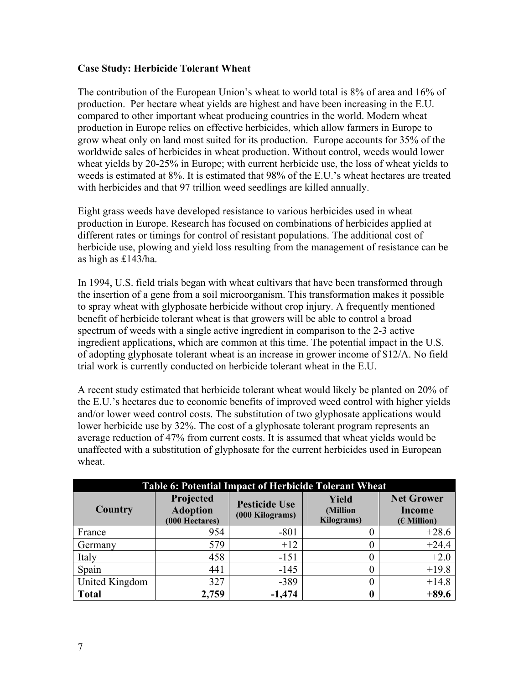#### **Case Study: Herbicide Tolerant Wheat**

The contribution of the European Union's wheat to world total is 8% of area and 16% of production. Per hectare wheat yields are highest and have been increasing in the E.U. compared to other important wheat producing countries in the world. Modern wheat production in Europe relies on effective herbicides, which allow farmers in Europe to grow wheat only on land most suited for its production. Europe accounts for 35% of the worldwide sales of herbicides in wheat production. Without control, weeds would lower wheat yields by 20-25% in Europe; with current herbicide use, the loss of wheat yields to weeds is estimated at 8%. It is estimated that 98% of the E.U.'s wheat hectares are treated with herbicides and that 97 trillion weed seedlings are killed annually.

Eight grass weeds have developed resistance to various herbicides used in wheat production in Europe. Research has focused on combinations of herbicides applied at different rates or timings for control of resistant populations. The additional cost of herbicide use, plowing and yield loss resulting from the management of resistance can be as high as ₤143/ha.

In 1994, U.S. field trials began with wheat cultivars that have been transformed through the insertion of a gene from a soil microorganism. This transformation makes it possible to spray wheat with glyphosate herbicide without crop injury. A frequently mentioned benefit of herbicide tolerant wheat is that growers will be able to control a broad spectrum of weeds with a single active ingredient in comparison to the 2-3 active ingredient applications, which are common at this time. The potential impact in the U.S. of adopting glyphosate tolerant wheat is an increase in grower income of \$12/A. No field trial work is currently conducted on herbicide tolerant wheat in the E.U.

A recent study estimated that herbicide tolerant wheat would likely be planted on 20% of the E.U.'s hectares due to economic benefits of improved weed control with higher yields and/or lower weed control costs. The substitution of two glyphosate applications would lower herbicide use by 32%. The cost of a glyphosate tolerant program represents an average reduction of 47% from current costs. It is assumed that wheat yields would be unaffected with a substitution of glyphosate for the current herbicides used in European wheat.

| <b>Table 6: Potential Impact of Herbicide Tolerant Wheat</b> |                                                |                                         |                                         |                                              |
|--------------------------------------------------------------|------------------------------------------------|-----------------------------------------|-----------------------------------------|----------------------------------------------|
| Country                                                      | Projected<br><b>Adoption</b><br>(000 Hectares) | <b>Pesticide Use</b><br>(000 Kilograms) | Yield<br>(Million<br><b>Kilograms</b> ) | <b>Net Grower</b><br>Income<br>$(E$ Million) |
| France                                                       | 954                                            | $-801$                                  | 0                                       | $+28.6$                                      |
| Germany                                                      | 579                                            | $+12$                                   | 0                                       | $+24.4$                                      |
| Italy                                                        | 458                                            | $-151$                                  | 0                                       | $+2.0$                                       |
| Spain                                                        | 441                                            | $-145$                                  | 0                                       | $+19.8$                                      |
| United Kingdom                                               | 327                                            | $-389$                                  | 0                                       | $+14.8$                                      |
| <b>Total</b>                                                 | 2,759                                          | $-1,474$                                | 0                                       | $+89.6$                                      |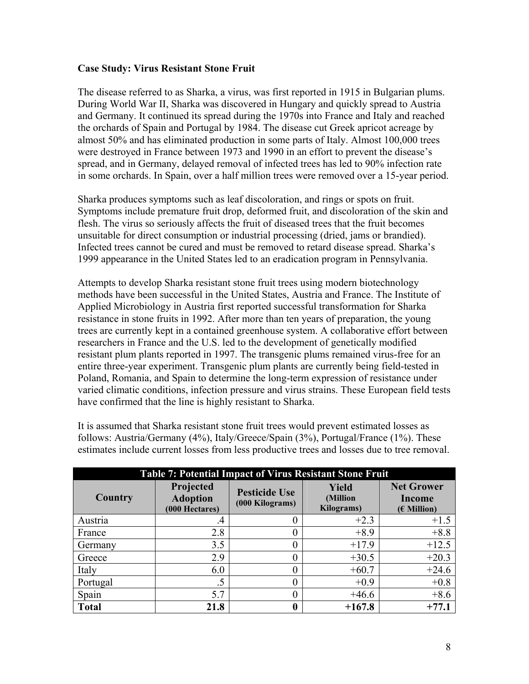#### **Case Study: Virus Resistant Stone Fruit**

The disease referred to as Sharka, a virus, was first reported in 1915 in Bulgarian plums. During World War II, Sharka was discovered in Hungary and quickly spread to Austria and Germany. It continued its spread during the 1970s into France and Italy and reached the orchards of Spain and Portugal by 1984. The disease cut Greek apricot acreage by almost 50% and has eliminated production in some parts of Italy. Almost 100,000 trees were destroyed in France between 1973 and 1990 in an effort to prevent the disease's spread, and in Germany, delayed removal of infected trees has led to 90% infection rate in some orchards. In Spain, over a half million trees were removed over a 15-year period.

Sharka produces symptoms such as leaf discoloration, and rings or spots on fruit. Symptoms include premature fruit drop, deformed fruit, and discoloration of the skin and flesh. The virus so seriously affects the fruit of diseased trees that the fruit becomes unsuitable for direct consumption or industrial processing (dried, jams or brandied). Infected trees cannot be cured and must be removed to retard disease spread. Sharka's 1999 appearance in the United States led to an eradication program in Pennsylvania.

Attempts to develop Sharka resistant stone fruit trees using modern biotechnology methods have been successful in the United States, Austria and France. The Institute of Applied Microbiology in Austria first reported successful transformation for Sharka resistance in stone fruits in 1992. After more than ten years of preparation, the young trees are currently kept in a contained greenhouse system. A collaborative effort between researchers in France and the U.S. led to the development of genetically modified resistant plum plants reported in 1997. The transgenic plums remained virus-free for an entire three-year experiment. Transgenic plum plants are currently being field-tested in Poland, Romania, and Spain to determine the long-term expression of resistance under varied climatic conditions, infection pressure and virus strains. These European field tests have confirmed that the line is highly resistant to Sharka.

It is assumed that Sharka resistant stone fruit trees would prevent estimated losses as follows: Austria/Germany (4%), Italy/Greece/Spain (3%), Portugal/France (1%). These estimates include current losses from less productive trees and losses due to tree removal.

| <b>Table 7: Potential Impact of Virus Resistant Stone Fruit</b> |                                                |                                         |                                                |                                                     |
|-----------------------------------------------------------------|------------------------------------------------|-----------------------------------------|------------------------------------------------|-----------------------------------------------------|
| Country                                                         | Projected<br><b>Adoption</b><br>(000 Hectares) | <b>Pesticide Use</b><br>(000 Kilograms) | <b>Yield</b><br>(Million<br><b>Kilograms</b> ) | <b>Net Grower</b><br><b>Income</b><br>$(E$ Million) |
| Austria                                                         | $\cdot$                                        |                                         | $+2.3$                                         | $+1.5$                                              |
| France                                                          | 2.8                                            |                                         | $+8.9$                                         | $+8.8$                                              |
| Germany                                                         | 3.5                                            |                                         | $+17.9$                                        | $+12.5$                                             |
| Greece                                                          | 2.9                                            |                                         | $+30.5$                                        | $+20.3$                                             |
| Italy                                                           | 6.0                                            |                                         | $+60.7$                                        | $+24.6$                                             |
| Portugal                                                        |                                                |                                         | $+0.9$                                         | $+0.8$                                              |
| Spain                                                           | 5.7                                            |                                         | $+46.6$                                        | $+8.6$                                              |
| <b>Total</b>                                                    | 21.8                                           |                                         | $+167.8$                                       | $+77.1$                                             |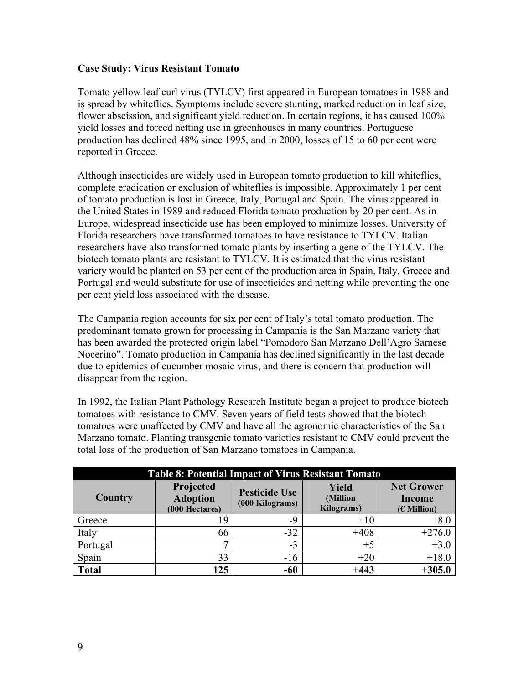#### **Case Study: Virus Resistant Tomato**

Tomato yellow leaf curl virus (TYLCV) first appeared in European tomatoes in 1988 and is spread by whiteflies. Symptoms include severe stunting, marked reduction in leaf size, flower abscission, and significant yield reduction. In certain regions, it has caused 100% yield losses and forced netting use in greenhouses in many countries. Portuguese production has declined 48% since 1995, and in 2000, losses of 15 to 60 per cent were reported in Greece.

Although insecticides are widely used in European tomato production to kill whiteflies, complete eradication or exclusion of whiteflies is impossible. Approximately 1 per cent of tomato production is lost in Greece, Italy, Portugal and Spain. The virus appeared in the United States in 1989 and reduced Florida tomato production by 20 per cent. As in Europe, widespread insecticide use has been employed to minimize losses. University of Florida researchers have transformed tomatoes to have resistance to TYLCV. Italian researchers have also transformed tomato plants by inserting a gene of the TYLCV. The biotech tomato plants are resistant to TYLCV. It is estimated that the virus resistant variety would be planted on 53 per cent of the production area in Spain, Italy, Greece and Portugal and would substitute for use of insecticides and netting while preventing the one per cent yield loss associated with the disease.

The Campania region accounts for six per cent of Italy's total tomato production. The predominant tomato grown for processing in Campania is the San Marzano variety that has been awarded the protected origin label "Pomodoro San Marzano Dell'Agro Sarnese Nocerino". Tomato production in Campania has declined significantly in the last decade due to epidemics of cucumber mosaic virus, and there is concern that production will disappear from the region.

In 1992, the Italian Plant Pathology Research Institute began a project to produce biotech tomatoes with resistance to CMV. Seven years of field tests showed that the biotech tomatoes were unaffected by CMV and have all the agronomic characteristics of the San Marzano tomato. Planting transgenic tomato varieties resistant to CMV could prevent the total loss of the production of San Marzano tomatoes in Campania.

| <b>Table 8: Potential Impact of Virus Resistant Tomato</b> |                                                |                                         |                                        |                                                     |
|------------------------------------------------------------|------------------------------------------------|-----------------------------------------|----------------------------------------|-----------------------------------------------------|
| <b>Country</b>                                             | Projected<br><b>Adoption</b><br>(000 Hectares) | <b>Pesticide Use</b><br>(000 Kilograms) | <b>Yield</b><br>(Million<br>Kilograms) | <b>Net Grower</b><br><b>Income</b><br>$(E$ Million) |
| Greece                                                     | 19                                             | -9                                      | $+10$                                  | $+8.0$                                              |
| Italy                                                      | 66                                             | $-32$                                   | $+408$                                 | $+276.0$                                            |
| Portugal                                                   |                                                | $-3$                                    | $+5$                                   | $+3.0$                                              |
| Spain                                                      | 33                                             | $-16$                                   | $+20$                                  | $+18.0$                                             |
| <b>Total</b>                                               | 125                                            | -60                                     | $+443$                                 | $+305.0$                                            |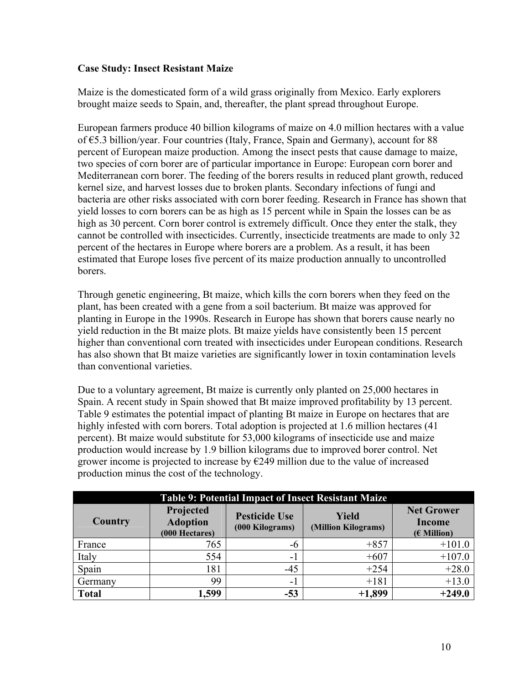# **Case Study: Insect Resistant Maize**

Maize is the domesticated form of a wild grass originally from Mexico. Early explorers brought maize seeds to Spain, and, thereafter, the plant spread throughout Europe.

European farmers produce 40 billion kilograms of maize on 4.0 million hectares with a value of €5.3 billion/year. Four countries (Italy, France, Spain and Germany), account for 88 percent of European maize production. Among the insect pests that cause damage to maize, two species of corn borer are of particular importance in Europe: European corn borer and Mediterranean corn borer. The feeding of the borers results in reduced plant growth, reduced kernel size, and harvest losses due to broken plants. Secondary infections of fungi and bacteria are other risks associated with corn borer feeding. Research in France has shown that yield losses to corn borers can be as high as 15 percent while in Spain the losses can be as high as 30 percent. Corn borer control is extremely difficult. Once they enter the stalk, they cannot be controlled with insecticides. Currently, insecticide treatments are made to only 32 percent of the hectares in Europe where borers are a problem. As a result, it has been estimated that Europe loses five percent of its maize production annually to uncontrolled borers.

Through genetic engineering, Bt maize, which kills the corn borers when they feed on the plant, has been created with a gene from a soil bacterium. Bt maize was approved for planting in Europe in the 1990s. Research in Europe has shown that borers cause nearly no yield reduction in the Bt maize plots. Bt maize yields have consistently been 15 percent higher than conventional corn treated with insecticides under European conditions. Research has also shown that Bt maize varieties are significantly lower in toxin contamination levels than conventional varieties.

Due to a voluntary agreement, Bt maize is currently only planted on 25,000 hectares in Spain. A recent study in Spain showed that Bt maize improved profitability by 13 percent. Table 9 estimates the potential impact of planting Bt maize in Europe on hectares that are highly infested with corn borers. Total adoption is projected at 1.6 million hectares (41 percent). Bt maize would substitute for 53,000 kilograms of insecticide use and maize production would increase by 1.9 billion kilograms due to improved borer control. Net grower income is projected to increase by  $\epsilon$ 249 million due to the value of increased production minus the cost of the technology.

|                | Table 9: Potential Impact of Insect Resistant Maize |                                         |                                     |                                                     |  |
|----------------|-----------------------------------------------------|-----------------------------------------|-------------------------------------|-----------------------------------------------------|--|
| <b>Country</b> | Projected<br><b>Adoption</b><br>(000 Hectares)      | <b>Pesticide Use</b><br>(000 Kilograms) | <b>Yield</b><br>(Million Kilograms) | <b>Net Grower</b><br><b>Income</b><br>$(E$ Million) |  |
| France         | 765                                                 | -0                                      | $+857$                              | $+101.0$                                            |  |
| Italy          | 554                                                 | $\blacksquare$                          | $+607$                              | $+107.0$                                            |  |
| Spain          | 181                                                 | $-45$                                   | $+254$                              | $+28.0$                                             |  |
| Germany        | 99                                                  | $\sim$                                  | $+181$                              | $+13.0$                                             |  |
| <b>Total</b>   | 1,599                                               | $-53$                                   | $+1,899$                            | $+249.0$                                            |  |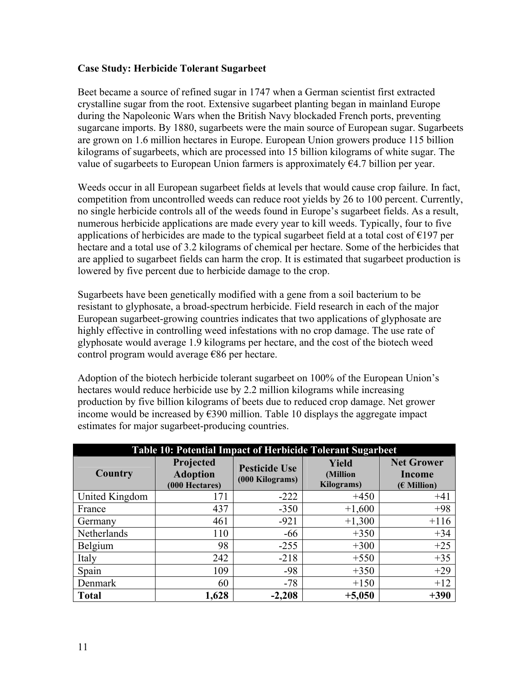#### **Case Study: Herbicide Tolerant Sugarbeet**

Beet became a source of refined sugar in 1747 when a German scientist first extracted crystalline sugar from the root. Extensive sugarbeet planting began in mainland Europe during the Napoleonic Wars when the British Navy blockaded French ports, preventing sugarcane imports. By 1880, sugarbeets were the main source of European sugar. Sugarbeets are grown on 1.6 million hectares in Europe. European Union growers produce 115 billion kilograms of sugarbeets, which are processed into 15 billion kilograms of white sugar. The value of sugarbeets to European Union farmers is approximately  $64.7$  billion per year.

Weeds occur in all European sugarbeet fields at levels that would cause crop failure. In fact, competition from uncontrolled weeds can reduce root yields by 26 to 100 percent. Currently, no single herbicide controls all of the weeds found in Europe's sugarbeet fields. As a result, numerous herbicide applications are made every year to kill weeds. Typically, four to five applications of herbicides are made to the typical sugarbeet field at a total cost of  $\epsilon$ 197 per hectare and a total use of 3.2 kilograms of chemical per hectare. Some of the herbicides that are applied to sugarbeet fields can harm the crop. It is estimated that sugarbeet production is lowered by five percent due to herbicide damage to the crop.

Sugarbeets have been genetically modified with a gene from a soil bacterium to be resistant to glyphosate, a broad-spectrum herbicide. Field research in each of the major European sugarbeet-growing countries indicates that two applications of glyphosate are highly effective in controlling weed infestations with no crop damage. The use rate of glyphosate would average 1.9 kilograms per hectare, and the cost of the biotech weed control program would average €86 per hectare.

Adoption of the biotech herbicide tolerant sugarbeet on 100% of the European Union's hectares would reduce herbicide use by 2.2 million kilograms while increasing production by five billion kilograms of beets due to reduced crop damage. Net grower income would be increased by  $\epsilon$ 390 million. Table 10 displays the aggregate impact estimates for major sugarbeet-producing countries.

| Table 10: Potential Impact of Herbicide Tolerant Sugarbeet |                                                |                                         |                                        |                                              |
|------------------------------------------------------------|------------------------------------------------|-----------------------------------------|----------------------------------------|----------------------------------------------|
| Country                                                    | Projected<br><b>Adoption</b><br>(000 Hectares) | <b>Pesticide Use</b><br>(000 Kilograms) | <b>Yield</b><br>(Million<br>Kilograms) | <b>Net Grower</b><br>Income<br>$(E$ Million) |
| United Kingdom                                             | 171                                            | $-222$                                  | $+450$                                 | $+41$                                        |
| France                                                     | 437                                            | $-350$                                  | $+1,600$                               | $+98$                                        |
| Germany                                                    | 461                                            | $-921$                                  | $+1,300$                               | $+116$                                       |
| Netherlands                                                | 110                                            | $-66$                                   | $+350$                                 | $+34$                                        |
| Belgium                                                    | 98                                             | $-255$                                  | $+300$                                 | $+25$                                        |
| Italy                                                      | 242                                            | $-218$                                  | $+550$                                 | $+35$                                        |
| Spain                                                      | 109                                            | $-98$                                   | $+350$                                 | $+29$                                        |
| Denmark                                                    | 60                                             | $-78$                                   | $+150$                                 | $+12$                                        |
| <b>Total</b>                                               | 1,628                                          | $-2,208$                                | $+5,050$                               | $+390$                                       |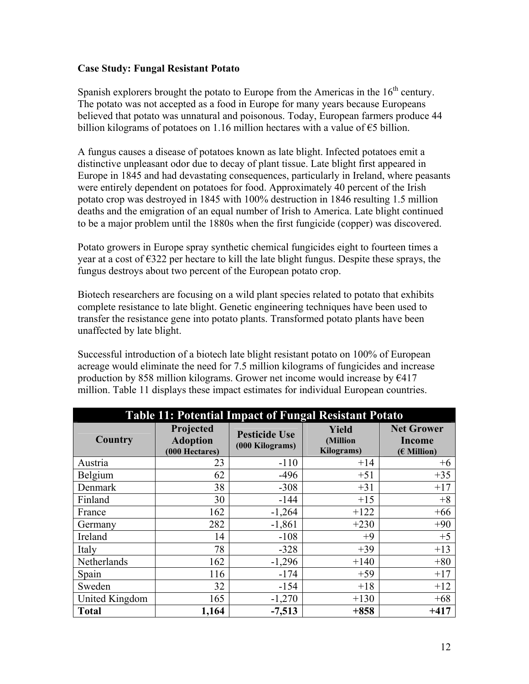#### **Case Study: Fungal Resistant Potato**

Spanish explorers brought the potato to Europe from the Americas in the  $16<sup>th</sup>$  century. The potato was not accepted as a food in Europe for many years because Europeans believed that potato was unnatural and poisonous. Today, European farmers produce 44 billion kilograms of potatoes on 1.16 million hectares with a value of  $\epsilon$ 5 billion.

A fungus causes a disease of potatoes known as late blight. Infected potatoes emit a distinctive unpleasant odor due to decay of plant tissue. Late blight first appeared in Europe in 1845 and had devastating consequences, particularly in Ireland, where peasants were entirely dependent on potatoes for food. Approximately 40 percent of the Irish potato crop was destroyed in 1845 with 100% destruction in 1846 resulting 1.5 million deaths and the emigration of an equal number of Irish to America. Late blight continued to be a major problem until the 1880s when the first fungicide (copper) was discovered.

Potato growers in Europe spray synthetic chemical fungicides eight to fourteen times a year at a cost of  $\epsilon$ 322 per hectare to kill the late blight fungus. Despite these sprays, the fungus destroys about two percent of the European potato crop.

Biotech researchers are focusing on a wild plant species related to potato that exhibits complete resistance to late blight. Genetic engineering techniques have been used to transfer the resistance gene into potato plants. Transformed potato plants have been unaffected by late blight.

Successful introduction of a biotech late blight resistant potato on 100% of European acreage would eliminate the need for 7.5 million kilograms of fungicides and increase production by 858 million kilograms. Grower net income would increase by  $\epsilon$ 417 million. Table 11 displays these impact estimates for individual European countries.

| <b>Table 11: Potential Impact of Fungal Resistant Potato</b> |                                                |                                         |                                         |                                                     |
|--------------------------------------------------------------|------------------------------------------------|-----------------------------------------|-----------------------------------------|-----------------------------------------------------|
| Country                                                      | Projected<br><b>Adoption</b><br>(000 Hectares) | <b>Pesticide Use</b><br>(000 Kilograms) | Yield<br>(Million<br><b>Kilograms</b> ) | <b>Net Grower</b><br><b>Income</b><br>$(E$ Million) |
| Austria                                                      | 23                                             | $-110$                                  | $+14$                                   | $+6$                                                |
| Belgium                                                      | 62                                             | $-496$                                  | $+51$                                   | $+35$                                               |
| Denmark                                                      | 38                                             | $-308$                                  | $+31$                                   | $+17$                                               |
| Finland                                                      | 30                                             | $-144$                                  | $+15$                                   | $+8$                                                |
| France                                                       | 162                                            | $-1,264$                                | $+122$                                  | $+66$                                               |
| Germany                                                      | 282                                            | $-1,861$                                | $+230$                                  | $+90$                                               |
| Ireland                                                      | 14                                             | $-108$                                  | $+9$                                    | $+5$                                                |
| Italy                                                        | 78                                             | $-328$                                  | $+39$                                   | $+13$                                               |
| Netherlands                                                  | 162                                            | $-1,296$                                | $+140$                                  | $+80$                                               |
| Spain                                                        | 116                                            | $-174$                                  | $+59$                                   | $+17$                                               |
| Sweden                                                       | 32                                             | $-154$                                  | $+18$                                   | $+12$                                               |
| United Kingdom                                               | 165                                            | $-1,270$                                | $+130$                                  | $+68$                                               |
| <b>Total</b>                                                 | 1,164                                          | $-7,513$                                | $+858$                                  | $+417$                                              |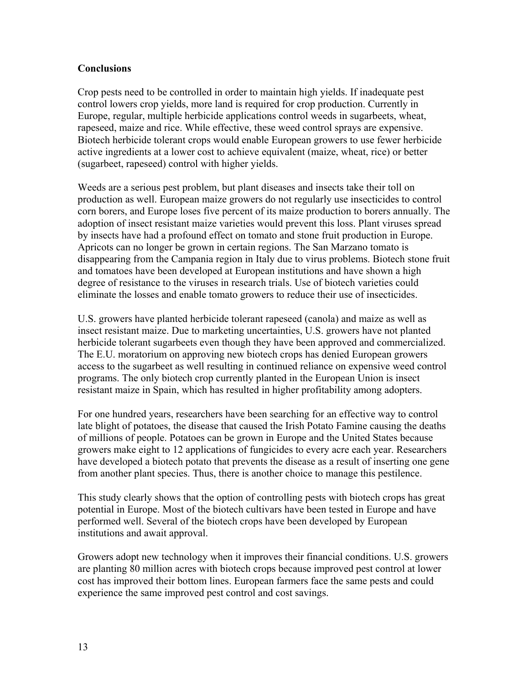#### **Conclusions**

Crop pests need to be controlled in order to maintain high yields. If inadequate pest control lowers crop yields, more land is required for crop production. Currently in Europe, regular, multiple herbicide applications control weeds in sugarbeets, wheat, rapeseed, maize and rice. While effective, these weed control sprays are expensive. Biotech herbicide tolerant crops would enable European growers to use fewer herbicide active ingredients at a lower cost to achieve equivalent (maize, wheat, rice) or better (sugarbeet, rapeseed) control with higher yields.

Weeds are a serious pest problem, but plant diseases and insects take their toll on production as well. European maize growers do not regularly use insecticides to control corn borers, and Europe loses five percent of its maize production to borers annually. The adoption of insect resistant maize varieties would prevent this loss. Plant viruses spread by insects have had a profound effect on tomato and stone fruit production in Europe. Apricots can no longer be grown in certain regions. The San Marzano tomato is disappearing from the Campania region in Italy due to virus problems. Biotech stone fruit and tomatoes have been developed at European institutions and have shown a high degree of resistance to the viruses in research trials. Use of biotech varieties could eliminate the losses and enable tomato growers to reduce their use of insecticides.

U.S. growers have planted herbicide tolerant rapeseed (canola) and maize as well as insect resistant maize. Due to marketing uncertainties, U.S. growers have not planted herbicide tolerant sugarbeets even though they have been approved and commercialized. The E.U. moratorium on approving new biotech crops has denied European growers access to the sugarbeet as well resulting in continued reliance on expensive weed control programs. The only biotech crop currently planted in the European Union is insect resistant maize in Spain, which has resulted in higher profitability among adopters.

For one hundred years, researchers have been searching for an effective way to control late blight of potatoes, the disease that caused the Irish Potato Famine causing the deaths of millions of people. Potatoes can be grown in Europe and the United States because growers make eight to 12 applications of fungicides to every acre each year. Researchers have developed a biotech potato that prevents the disease as a result of inserting one gene from another plant species. Thus, there is another choice to manage this pestilence.

This study clearly shows that the option of controlling pests with biotech crops has great potential in Europe. Most of the biotech cultivars have been tested in Europe and have performed well. Several of the biotech crops have been developed by European institutions and await approval.

Growers adopt new technology when it improves their financial conditions. U.S. growers are planting 80 million acres with biotech crops because improved pest control at lower cost has improved their bottom lines. European farmers face the same pests and could experience the same improved pest control and cost savings.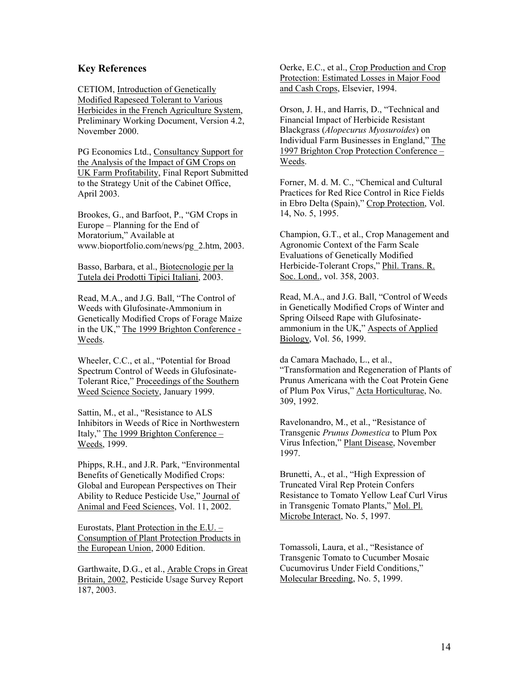#### **Key References**

CETIOM, Introduction of Genetically Modified Rapeseed Tolerant to Various Herbicides in the French Agriculture System, Preliminary Working Document, Version 4.2, November 2000.

PG Economics Ltd., Consultancy Support for the Analysis of the Impact of GM Crops on UK Farm Profitability, Final Report Submitted to the Strategy Unit of the Cabinet Office, April 2003.

Brookes, G., and Barfoot, P., "GM Crops in Europe – Planning for the End of Moratorium," Available at www.bioportfolio.com/news/pg\_2.htm, 2003.

Basso, Barbara, et al., Biotecnologie per la Tutela dei Prodotti Tipici Italiani, 2003.

Read, M.A., and J.G. Ball, "The Control of Weeds with Glufosinate-Ammonium in Genetically Modified Crops of Forage Maize in the UK," The 1999 Brighton Conference - Weeds.

Wheeler, C.C., et al., "Potential for Broad Spectrum Control of Weeds in Glufosinate-Tolerant Rice," Proceedings of the Southern Weed Science Society, January 1999.

Sattin, M., et al., "Resistance to ALS Inhibitors in Weeds of Rice in Northwestern Italy," The 1999 Brighton Conference – Weeds, 1999.

Phipps, R.H., and J.R. Park, "Environmental Benefits of Genetically Modified Crops: Global and European Perspectives on Their Ability to Reduce Pesticide Use," Journal of Animal and Feed Sciences, Vol. 11, 2002.

Eurostats, **Plant Protection in the E.U.**  $-$ Consumption of Plant Protection Products in the European Union, 2000 Edition.

Garthwaite, D.G., et al., Arable Crops in Great Britain, 2002, Pesticide Usage Survey Report 187, 2003.

Oerke, E.C., et al., Crop Production and Crop Protection: Estimated Losses in Major Food and Cash Crops, Elsevier, 1994.

Orson, J. H., and Harris, D., "Technical and Financial Impact of Herbicide Resistant Blackgrass (*Alopecurus Myosuroides*) on Individual Farm Businesses in England," The 1997 Brighton Crop Protection Conference – Weeds.

Forner, M. d. M. C., "Chemical and Cultural Practices for Red Rice Control in Rice Fields in Ebro Delta (Spain)," Crop Protection, Vol. 14, No. 5, 1995.

Champion, G.T., et al., Crop Management and Agronomic Context of the Farm Scale Evaluations of Genetically Modified Herbicide-Tolerant Crops," Phil. Trans. R. Soc. Lond., vol. 358, 2003.

Read, M.A., and J.G. Ball, "Control of Weeds in Genetically Modified Crops of Winter and Spring Oilseed Rape with Glufosinateammonium in the UK," Aspects of Applied Biology, Vol. 56, 1999.

da Camara Machado, L., et al., "Transformation and Regeneration of Plants of Prunus Americana with the Coat Protein Gene of Plum Pox Virus," Acta Horticulturae, No. 309, 1992.

Ravelonandro, M., et al., "Resistance of Transgenic *Prunus Domestica* to Plum Pox Virus Infection," Plant Disease, November 1997.

Brunetti, A., et al., "High Expression of Truncated Viral Rep Protein Confers Resistance to Tomato Yellow Leaf Curl Virus in Transgenic Tomato Plants," Mol. Pl. Microbe Interact, No. 5, 1997.

Tomassoli, Laura, et al., "Resistance of Transgenic Tomato to Cucumber Mosaic Cucumovirus Under Field Conditions," Molecular Breeding, No. 5, 1999.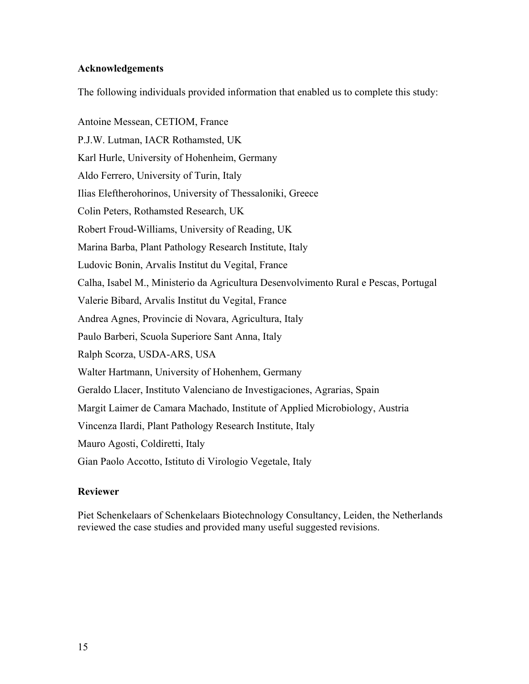#### **Acknowledgements**

The following individuals provided information that enabled us to complete this study:

Antoine Messean, CETIOM, France P.J.W. Lutman, IACR Rothamsted, UK Karl Hurle, University of Hohenheim, Germany Aldo Ferrero, University of Turin, Italy Ilias Eleftherohorinos, University of Thessaloniki, Greece Colin Peters, Rothamsted Research, UK Robert Froud-Williams, University of Reading, UK Marina Barba, Plant Pathology Research Institute, Italy Ludovic Bonin, Arvalis Institut du Vegital, France Calha, Isabel M., Ministerio da Agricultura Desenvolvimento Rural e Pescas, Portugal Valerie Bibard, Arvalis Institut du Vegital, France Andrea Agnes, Provincie di Novara, Agricultura, Italy Paulo Barberi, Scuola Superiore Sant Anna, Italy Ralph Scorza, USDA-ARS, USA Walter Hartmann, University of Hohenhem, Germany Geraldo Llacer, Instituto Valenciano de Investigaciones, Agrarias, Spain Margit Laimer de Camara Machado, Institute of Applied Microbiology, Austria Vincenza Ilardi, Plant Pathology Research Institute, Italy Mauro Agosti, Coldiretti, Italy Gian Paolo Accotto, Istituto di Virologio Vegetale, Italy

# **Reviewer**

Piet Schenkelaars of Schenkelaars Biotechnology Consultancy, Leiden, the Netherlands reviewed the case studies and provided many useful suggested revisions.